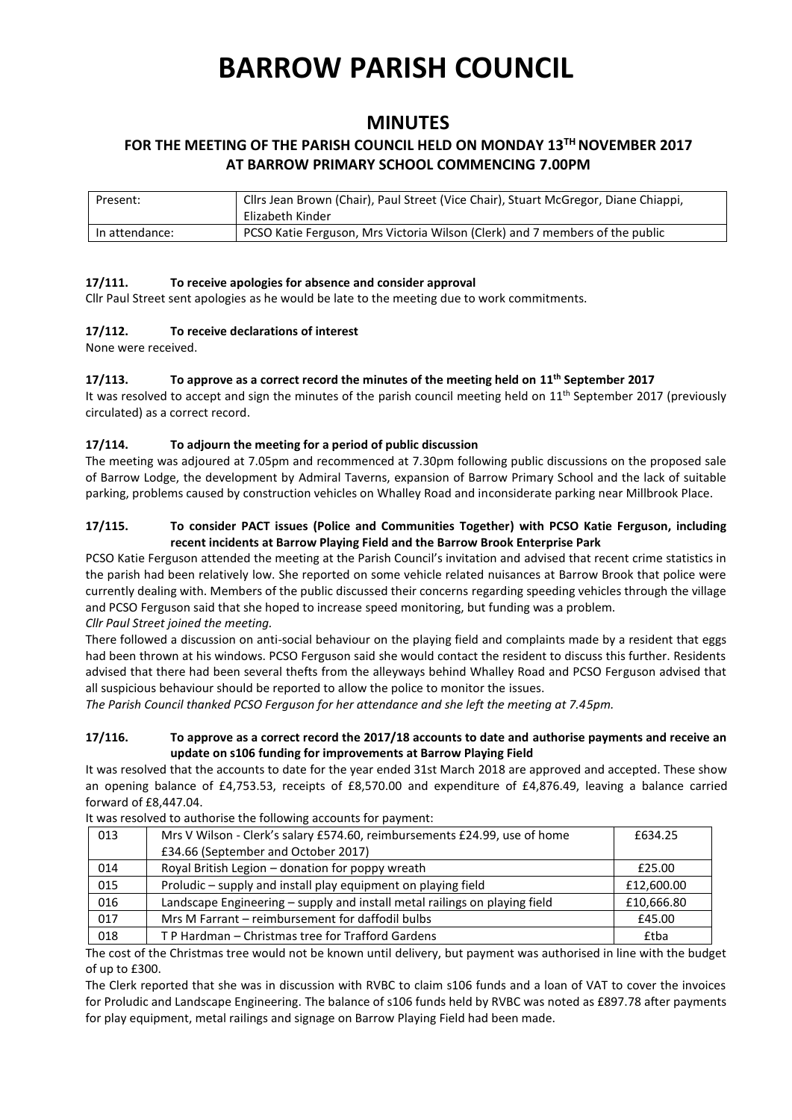# **BARROW PARISH COUNCIL**

## **MINUTES**

### **FOR THE MEETING OF THE PARISH COUNCIL HELD ON MONDAY 13 TH NOVEMBER 2017 AT BARROW PRIMARY SCHOOL COMMENCING 7.00PM**

| Present:       | Cllrs Jean Brown (Chair), Paul Street (Vice Chair), Stuart McGregor, Diane Chiappi, |  |
|----------------|-------------------------------------------------------------------------------------|--|
|                | Elizabeth Kinder                                                                    |  |
| In attendance: | PCSO Katie Ferguson, Mrs Victoria Wilson (Clerk) and 7 members of the public        |  |

#### **17/111. To receive apologies for absence and consider approval**

Cllr Paul Street sent apologies as he would be late to the meeting due to work commitments.

#### **17/112. To receive declarations of interest**

None were received.

#### **17/113. To approve as a correct record the minutes of the meeting held on 11th September 2017**

It was resolved to accept and sign the minutes of the parish council meeting held on 11<sup>th</sup> September 2017 (previously circulated) as a correct record.

#### **17/114. To adjourn the meeting for a period of public discussion**

The meeting was adjoured at 7.05pm and recommenced at 7.30pm following public discussions on the proposed sale of Barrow Lodge, the development by Admiral Taverns, expansion of Barrow Primary School and the lack of suitable parking, problems caused by construction vehicles on Whalley Road and inconsiderate parking near Millbrook Place.

#### **17/115. To consider PACT issues (Police and Communities Together) with PCSO Katie Ferguson, including recent incidents at Barrow Playing Field and the Barrow Brook Enterprise Park**

PCSO Katie Ferguson attended the meeting at the Parish Council's invitation and advised that recent crime statistics in the parish had been relatively low. She reported on some vehicle related nuisances at Barrow Brook that police were currently dealing with. Members of the public discussed their concerns regarding speeding vehicles through the village and PCSO Ferguson said that she hoped to increase speed monitoring, but funding was a problem. *Cllr Paul Street joined the meeting.*

There followed a discussion on anti-social behaviour on the playing field and complaints made by a resident that eggs had been thrown at his windows. PCSO Ferguson said she would contact the resident to discuss this further. Residents advised that there had been several thefts from the alleyways behind Whalley Road and PCSO Ferguson advised that all suspicious behaviour should be reported to allow the police to monitor the issues.

*The Parish Council thanked PCSO Ferguson for her attendance and she left the meeting at 7.45pm.*

#### **17/116. To approve as a correct record the 2017/18 accounts to date and authorise payments and receive an update on s106 funding for improvements at Barrow Playing Field**

It was resolved that the accounts to date for the year ended 31st March 2018 are approved and accepted. These show an opening balance of £4,753.53, receipts of £8,570.00 and expenditure of £4,876.49, leaving a balance carried forward of £8,447.04.

| 013 | Mrs V Wilson - Clerk's salary £574.60, reimbursements £24.99, use of home  | £634.25    |
|-----|----------------------------------------------------------------------------|------------|
|     | £34.66 (September and October 2017)                                        |            |
| 014 | Royal British Legion - donation for poppy wreath                           | £25.00     |
| 015 | Proludic - supply and install play equipment on playing field              | £12,600.00 |
| 016 | Landscape Engineering - supply and install metal railings on playing field | £10,666.80 |
| 017 | Mrs M Farrant - reimbursement for daffodil bulbs                           | £45.00     |
| 018 | T P Hardman – Christmas tree for Trafford Gardens                          | £tba       |

It was resolved to authorise the following accounts for payment:

The cost of the Christmas tree would not be known until delivery, but payment was authorised in line with the budget of up to £300.

The Clerk reported that she was in discussion with RVBC to claim s106 funds and a loan of VAT to cover the invoices for Proludic and Landscape Engineering. The balance of s106 funds held by RVBC was noted as £897.78 after payments for play equipment, metal railings and signage on Barrow Playing Field had been made.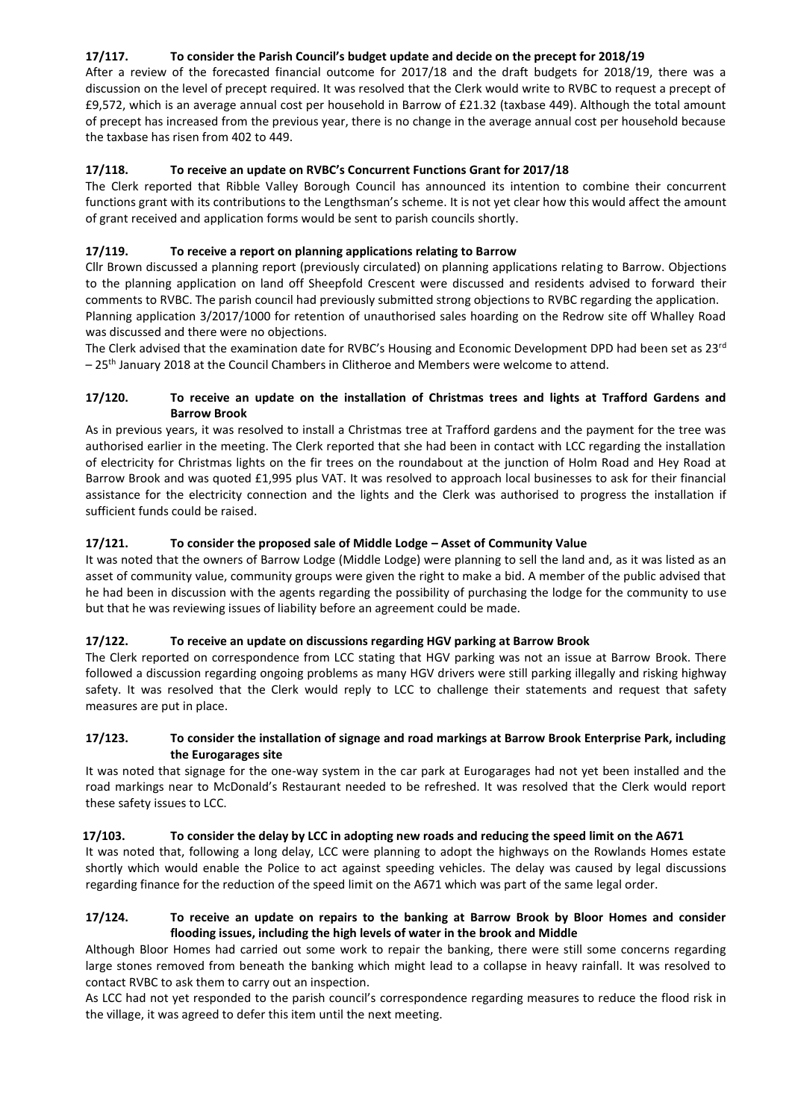#### **17/117. To consider the Parish Council's budget update and decide on the precept for 2018/19**

After a review of the forecasted financial outcome for 2017/18 and the draft budgets for 2018/19, there was a discussion on the level of precept required. It was resolved that the Clerk would write to RVBC to request a precept of £9,572, which is an average annual cost per household in Barrow of £21.32 (taxbase 449). Although the total amount of precept has increased from the previous year, there is no change in the average annual cost per household because the taxbase has risen from 402 to 449.

#### **17/118. To receive an update on RVBC's Concurrent Functions Grant for 2017/18**

The Clerk reported that Ribble Valley Borough Council has announced its intention to combine their concurrent functions grant with its contributions to the Lengthsman's scheme. It is not yet clear how this would affect the amount of grant received and application forms would be sent to parish councils shortly.

#### **17/119. To receive a report on planning applications relating to Barrow**

Cllr Brown discussed a planning report (previously circulated) on planning applications relating to Barrow. Objections to the planning application on land off Sheepfold Crescent were discussed and residents advised to forward their comments to RVBC. The parish council had previously submitted strong objections to RVBC regarding the application. Planning application 3/2017/1000 for retention of unauthorised sales hoarding on the Redrow site off Whalley Road was discussed and there were no objections.

The Clerk advised that the examination date for RVBC's Housing and Economic Development DPD had been set as 23<sup>rd</sup>  $-25<sup>th</sup>$  January 2018 at the Council Chambers in Clitheroe and Members were welcome to attend.

#### **17/120. To receive an update on the installation of Christmas trees and lights at Trafford Gardens and Barrow Brook**

As in previous years, it was resolved to install a Christmas tree at Trafford gardens and the payment for the tree was authorised earlier in the meeting. The Clerk reported that she had been in contact with LCC regarding the installation of electricity for Christmas lights on the fir trees on the roundabout at the junction of Holm Road and Hey Road at Barrow Brook and was quoted £1,995 plus VAT. It was resolved to approach local businesses to ask for their financial assistance for the electricity connection and the lights and the Clerk was authorised to progress the installation if sufficient funds could be raised.

#### **17/121. To consider the proposed sale of Middle Lodge – Asset of Community Value**

It was noted that the owners of Barrow Lodge (Middle Lodge) were planning to sell the land and, as it was listed as an asset of community value, community groups were given the right to make a bid. A member of the public advised that he had been in discussion with the agents regarding the possibility of purchasing the lodge for the community to use but that he was reviewing issues of liability before an agreement could be made.

#### **17/122. To receive an update on discussions regarding HGV parking at Barrow Brook**

The Clerk reported on correspondence from LCC stating that HGV parking was not an issue at Barrow Brook. There followed a discussion regarding ongoing problems as many HGV drivers were still parking illegally and risking highway safety. It was resolved that the Clerk would reply to LCC to challenge their statements and request that safety measures are put in place.

#### **17/123. To consider the installation of signage and road markings at Barrow Brook Enterprise Park, including the Eurogarages site**

It was noted that signage for the one-way system in the car park at Eurogarages had not yet been installed and the road markings near to McDonald's Restaurant needed to be refreshed. It was resolved that the Clerk would report these safety issues to LCC.

#### **17/103. To consider the delay by LCC in adopting new roads and reducing the speed limit on the A671**

It was noted that, following a long delay, LCC were planning to adopt the highways on the Rowlands Homes estate shortly which would enable the Police to act against speeding vehicles. The delay was caused by legal discussions regarding finance for the reduction of the speed limit on the A671 which was part of the same legal order.

#### **17/124. To receive an update on repairs to the banking at Barrow Brook by Bloor Homes and consider flooding issues, including the high levels of water in the brook and Middle**

Although Bloor Homes had carried out some work to repair the banking, there were still some concerns regarding large stones removed from beneath the banking which might lead to a collapse in heavy rainfall. It was resolved to contact RVBC to ask them to carry out an inspection.

As LCC had not yet responded to the parish council's correspondence regarding measures to reduce the flood risk in the village, it was agreed to defer this item until the next meeting.